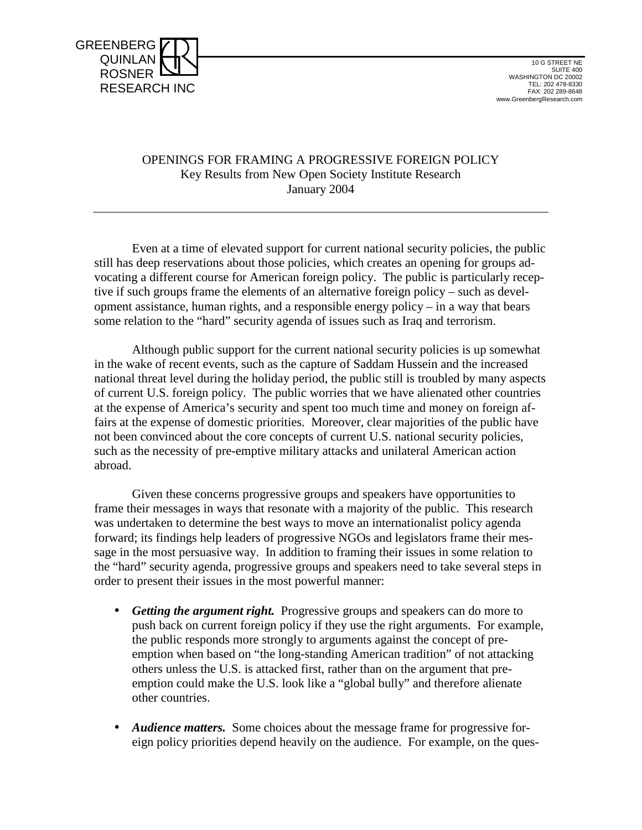

#### OPENINGS FOR FRAMING A PROGRESSIVE FOREIGN POLICY Key Results from New Open Society Institute Research January 2004

 Even at a time of elevated support for current national security policies, the public still has deep reservations about those policies, which creates an opening for groups advocating a different course for American foreign policy. The public is particularly receptive if such groups frame the elements of an alternative foreign policy – such as development assistance, human rights, and a responsible energy policy – in a way that bears some relation to the "hard" security agenda of issues such as Iraq and terrorism.

 Although public support for the current national security policies is up somewhat in the wake of recent events, such as the capture of Saddam Hussein and the increased national threat level during the holiday period, the public still is troubled by many aspects of current U.S. foreign policy. The public worries that we have alienated other countries at the expense of America's security and spent too much time and money on foreign affairs at the expense of domestic priorities. Moreover, clear majorities of the public have not been convinced about the core concepts of current U.S. national security policies, such as the necessity of pre-emptive military attacks and unilateral American action abroad.

 Given these concerns progressive groups and speakers have opportunities to frame their messages in ways that resonate with a majority of the public. This research was undertaken to determine the best ways to move an internationalist policy agenda forward; its findings help leaders of progressive NGOs and legislators frame their message in the most persuasive way. In addition to framing their issues in some relation to the "hard" security agenda, progressive groups and speakers need to take several steps in order to present their issues in the most powerful manner:

- *Getting the argument right.* Progressive groups and speakers can do more to push back on current foreign policy if they use the right arguments. For example, the public responds more strongly to arguments against the concept of preemption when based on "the long-standing American tradition" of not attacking others unless the U.S. is attacked first, rather than on the argument that preemption could make the U.S. look like a "global bully" and therefore alienate other countries.
- *Audience matters.* Some choices about the message frame for progressive foreign policy priorities depend heavily on the audience. For example, on the ques-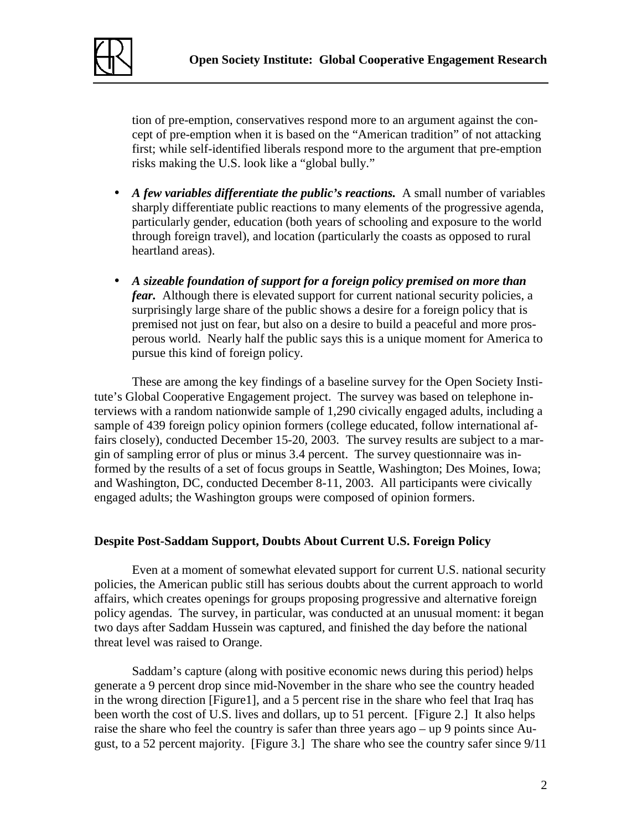

tion of pre-emption, conservatives respond more to an argument against the concept of pre-emption when it is based on the "American tradition" of not attacking first; while self-identified liberals respond more to the argument that pre-emption risks making the U.S. look like a "global bully."

- A *few variables differentiate the public's reactions.* A small number of variables sharply differentiate public reactions to many elements of the progressive agenda, particularly gender, education (both years of schooling and exposure to the world through foreign travel), and location (particularly the coasts as opposed to rural heartland areas).
- *A sizeable foundation of support for a foreign policy premised on more than fear.* Although there is elevated support for current national security policies, a surprisingly large share of the public shows a desire for a foreign policy that is premised not just on fear, but also on a desire to build a peaceful and more prosperous world. Nearly half the public says this is a unique moment for America to pursue this kind of foreign policy.

 These are among the key findings of a baseline survey for the Open Society Institute's Global Cooperative Engagement project. The survey was based on telephone interviews with a random nationwide sample of 1,290 civically engaged adults, including a sample of 439 foreign policy opinion formers (college educated, follow international affairs closely), conducted December 15-20, 2003. The survey results are subject to a margin of sampling error of plus or minus 3.4 percent. The survey questionnaire was informed by the results of a set of focus groups in Seattle, Washington; Des Moines, Iowa; and Washington, DC, conducted December 8-11, 2003. All participants were civically engaged adults; the Washington groups were composed of opinion formers.

### **Despite Post-Saddam Support, Doubts About Current U.S. Foreign Policy**

Even at a moment of somewhat elevated support for current U.S. national security policies, the American public still has serious doubts about the current approach to world affairs, which creates openings for groups proposing progressive and alternative foreign policy agendas. The survey, in particular, was conducted at an unusual moment: it began two days after Saddam Hussein was captured, and finished the day before the national threat level was raised to Orange.

Saddam's capture (along with positive economic news during this period) helps generate a 9 percent drop since mid-November in the share who see the country headed in the wrong direction [Figure1], and a 5 percent rise in the share who feel that Iraq has been worth the cost of U.S. lives and dollars, up to 51 percent. [Figure 2.] It also helps raise the share who feel the country is safer than three years ago – up 9 points since August, to a 52 percent majority. [Figure 3.] The share who see the country safer since 9/11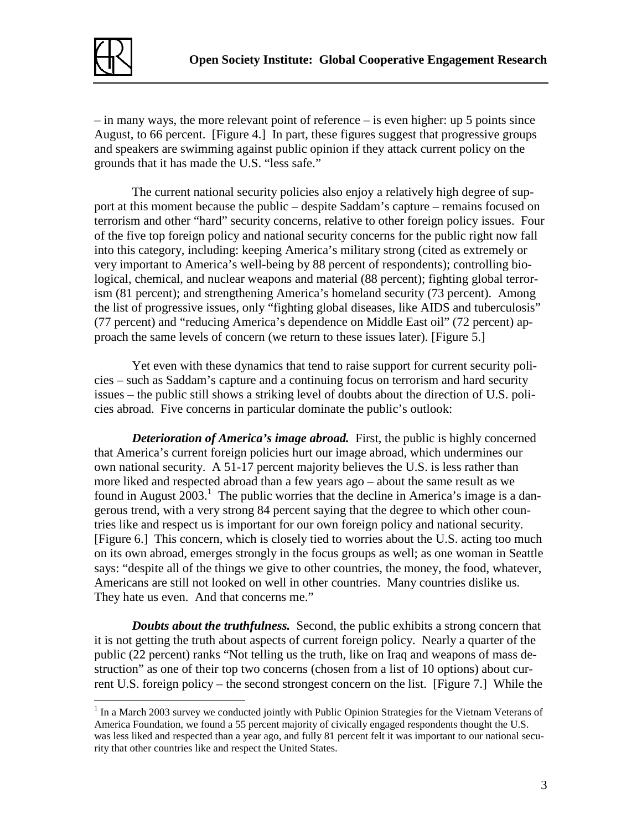

<u>.</u>

– in many ways, the more relevant point of reference – is even higher: up 5 points since August, to 66 percent. [Figure 4.] In part, these figures suggest that progressive groups and speakers are swimming against public opinion if they attack current policy on the grounds that it has made the U.S. "less safe."

 The current national security policies also enjoy a relatively high degree of support at this moment because the public – despite Saddam's capture – remains focused on terrorism and other "hard" security concerns, relative to other foreign policy issues. Four of the five top foreign policy and national security concerns for the public right now fall into this category, including: keeping America's military strong (cited as extremely or very important to America's well-being by 88 percent of respondents); controlling biological, chemical, and nuclear weapons and material (88 percent); fighting global terrorism (81 percent); and strengthening America's homeland security (73 percent). Among the list of progressive issues, only "fighting global diseases, like AIDS and tuberculosis" (77 percent) and "reducing America's dependence on Middle East oil" (72 percent) approach the same levels of concern (we return to these issues later). [Figure 5.]

 Yet even with these dynamics that tend to raise support for current security policies – such as Saddam's capture and a continuing focus on terrorism and hard security issues – the public still shows a striking level of doubts about the direction of U.S. policies abroad. Five concerns in particular dominate the public's outlook:

*Deterioration of America's image abroad.* First, the public is highly concerned that America's current foreign policies hurt our image abroad, which undermines our own national security. A 51-17 percent majority believes the U.S. is less rather than more liked and respected abroad than a few years ago – about the same result as we found in August  $2003$ .<sup>1</sup> The public worries that the decline in America's image is a dangerous trend, with a very strong 84 percent saying that the degree to which other countries like and respect us is important for our own foreign policy and national security. [Figure 6.] This concern, which is closely tied to worries about the U.S. acting too much on its own abroad, emerges strongly in the focus groups as well; as one woman in Seattle says: "despite all of the things we give to other countries, the money, the food, whatever, Americans are still not looked on well in other countries. Many countries dislike us. They hate us even. And that concerns me."

*Doubts about the truthfulness.* Second, the public exhibits a strong concern that it is not getting the truth about aspects of current foreign policy. Nearly a quarter of the public (22 percent) ranks "Not telling us the truth, like on Iraq and weapons of mass destruction" as one of their top two concerns (chosen from a list of 10 options) about current U.S. foreign policy – the second strongest concern on the list. [Figure 7.] While the

<sup>&</sup>lt;sup>1</sup> In a March 2003 survey we conducted jointly with Public Opinion Strategies for the Vietnam Veterans of America Foundation, we found a 55 percent majority of civically engaged respondents thought the U.S. was less liked and respected than a year ago, and fully 81 percent felt it was important to our national security that other countries like and respect the United States.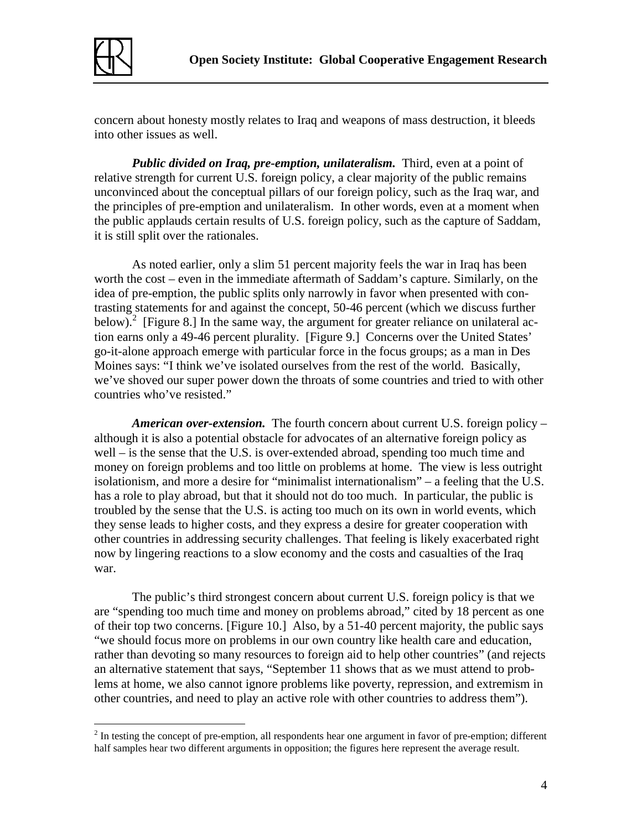

concern about honesty mostly relates to Iraq and weapons of mass destruction, it bleeds into other issues as well.

*Public divided on Iraq, pre-emption, unilateralism.* Third, even at a point of relative strength for current U.S. foreign policy, a clear majority of the public remains unconvinced about the conceptual pillars of our foreign policy, such as the Iraq war, and the principles of pre-emption and unilateralism. In other words, even at a moment when the public applauds certain results of U.S. foreign policy, such as the capture of Saddam, it is still split over the rationales.

 As noted earlier, only a slim 51 percent majority feels the war in Iraq has been worth the cost – even in the immediate aftermath of Saddam's capture. Similarly, on the idea of pre-emption, the public splits only narrowly in favor when presented with contrasting statements for and against the concept, 50-46 percent (which we discuss further below).<sup>2</sup> [Figure 8.] In the same way, the argument for greater reliance on unilateral action earns only a 49-46 percent plurality. [Figure 9.] Concerns over the United States' go-it-alone approach emerge with particular force in the focus groups; as a man in Des Moines says: "I think we've isolated ourselves from the rest of the world. Basically, we've shoved our super power down the throats of some countries and tried to with other countries who've resisted."

*American over-extension.* The fourth concern about current U.S. foreign policy – although it is also a potential obstacle for advocates of an alternative foreign policy as well – is the sense that the U.S. is over-extended abroad, spending too much time and money on foreign problems and too little on problems at home. The view is less outright isolationism, and more a desire for "minimalist internationalism" – a feeling that the U.S. has a role to play abroad, but that it should not do too much. In particular, the public is troubled by the sense that the U.S. is acting too much on its own in world events, which they sense leads to higher costs, and they express a desire for greater cooperation with other countries in addressing security challenges. That feeling is likely exacerbated right now by lingering reactions to a slow economy and the costs and casualties of the Iraq war.

 The public's third strongest concern about current U.S. foreign policy is that we are "spending too much time and money on problems abroad," cited by 18 percent as one of their top two concerns. [Figure 10.] Also, by a 51-40 percent majority, the public says "we should focus more on problems in our own country like health care and education, rather than devoting so many resources to foreign aid to help other countries" (and rejects an alternative statement that says, "September 11 shows that as we must attend to problems at home, we also cannot ignore problems like poverty, repression, and extremism in other countries, and need to play an active role with other countries to address them").

<sup>&</sup>lt;sup>2</sup> In testing the concept of pre-emption, all respondents hear one argument in favor of pre-emption; different half samples hear two different arguments in opposition; the figures here represent the average result.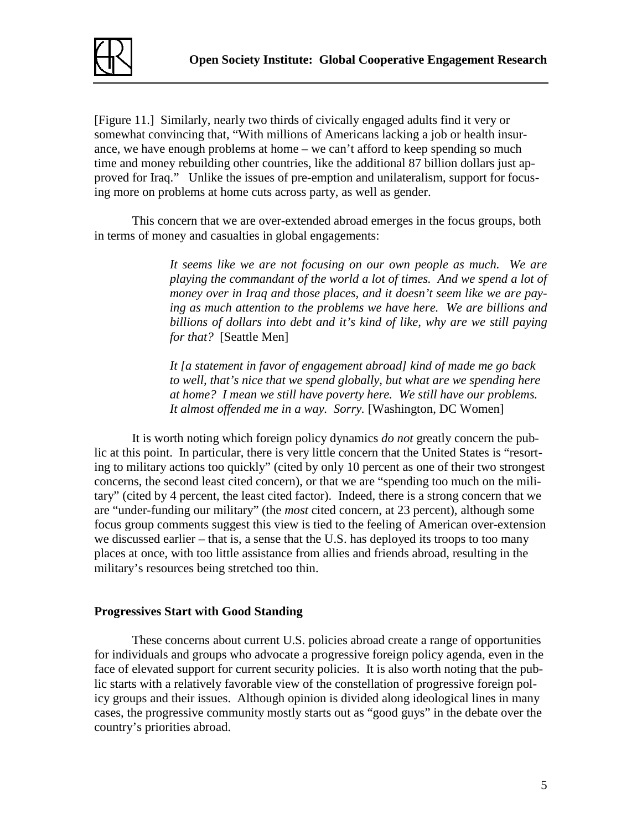

[Figure 11.] Similarly, nearly two thirds of civically engaged adults find it very or somewhat convincing that, "With millions of Americans lacking a job or health insurance, we have enough problems at home – we can't afford to keep spending so much time and money rebuilding other countries, like the additional 87 billion dollars just approved for Iraq." Unlike the issues of pre-emption and unilateralism, support for focusing more on problems at home cuts across party, as well as gender.

 This concern that we are over-extended abroad emerges in the focus groups, both in terms of money and casualties in global engagements:

> *It seems like we are not focusing on our own people as much. We are playing the commandant of the world a lot of times. And we spend a lot of money over in Iraq and those places, and it doesn't seem like we are paying as much attention to the problems we have here. We are billions and billions of dollars into debt and it's kind of like, why are we still paying for that?* [Seattle Men]

*It [a statement in favor of engagement abroad] kind of made me go back to well, that's nice that we spend globally, but what are we spending here at home? I mean we still have poverty here. We still have our problems. It almost offended me in a way. Sorry.* [Washington, DC Women]

 It is worth noting which foreign policy dynamics *do not* greatly concern the public at this point. In particular, there is very little concern that the United States is "resorting to military actions too quickly" (cited by only 10 percent as one of their two strongest concerns, the second least cited concern), or that we are "spending too much on the military" (cited by 4 percent, the least cited factor). Indeed, there is a strong concern that we are "under-funding our military" (the *most* cited concern, at 23 percent), although some focus group comments suggest this view is tied to the feeling of American over-extension we discussed earlier – that is, a sense that the U.S. has deployed its troops to too many places at once, with too little assistance from allies and friends abroad, resulting in the military's resources being stretched too thin.

#### **Progressives Start with Good Standing**

 These concerns about current U.S. policies abroad create a range of opportunities for individuals and groups who advocate a progressive foreign policy agenda, even in the face of elevated support for current security policies. It is also worth noting that the public starts with a relatively favorable view of the constellation of progressive foreign policy groups and their issues. Although opinion is divided along ideological lines in many cases, the progressive community mostly starts out as "good guys" in the debate over the country's priorities abroad.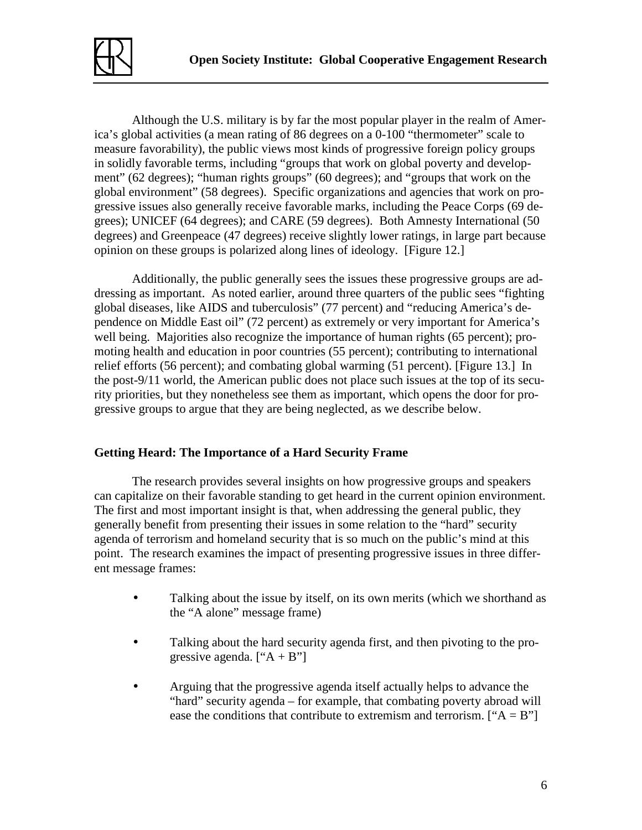

 Although the U.S. military is by far the most popular player in the realm of America's global activities (a mean rating of 86 degrees on a 0-100 "thermometer" scale to measure favorability), the public views most kinds of progressive foreign policy groups in solidly favorable terms, including "groups that work on global poverty and development" (62 degrees); "human rights groups" (60 degrees); and "groups that work on the global environment" (58 degrees). Specific organizations and agencies that work on progressive issues also generally receive favorable marks, including the Peace Corps (69 degrees); UNICEF (64 degrees); and CARE (59 degrees). Both Amnesty International (50 degrees) and Greenpeace (47 degrees) receive slightly lower ratings, in large part because opinion on these groups is polarized along lines of ideology. [Figure 12.]

 Additionally, the public generally sees the issues these progressive groups are addressing as important. As noted earlier, around three quarters of the public sees "fighting global diseases, like AIDS and tuberculosis" (77 percent) and "reducing America's dependence on Middle East oil" (72 percent) as extremely or very important for America's well being. Majorities also recognize the importance of human rights (65 percent); promoting health and education in poor countries (55 percent); contributing to international relief efforts (56 percent); and combating global warming (51 percent). [Figure 13.] In the post-9/11 world, the American public does not place such issues at the top of its security priorities, but they nonetheless see them as important, which opens the door for progressive groups to argue that they are being neglected, as we describe below.

### **Getting Heard: The Importance of a Hard Security Frame**

The research provides several insights on how progressive groups and speakers can capitalize on their favorable standing to get heard in the current opinion environment. The first and most important insight is that, when addressing the general public, they generally benefit from presenting their issues in some relation to the "hard" security agenda of terrorism and homeland security that is so much on the public's mind at this point. The research examines the impact of presenting progressive issues in three different message frames:

- Talking about the issue by itself, on its own merits (which we shorthand as the "A alone" message frame)
- Talking about the hard security agenda first, and then pivoting to the progressive agenda.  $[$ "A + B" $]$
- Arguing that the progressive agenda itself actually helps to advance the "hard" security agenda – for example, that combating poverty abroad will ease the conditions that contribute to extremism and terrorism.  $[4 \text{ A} = B$ <sup>\*</sup>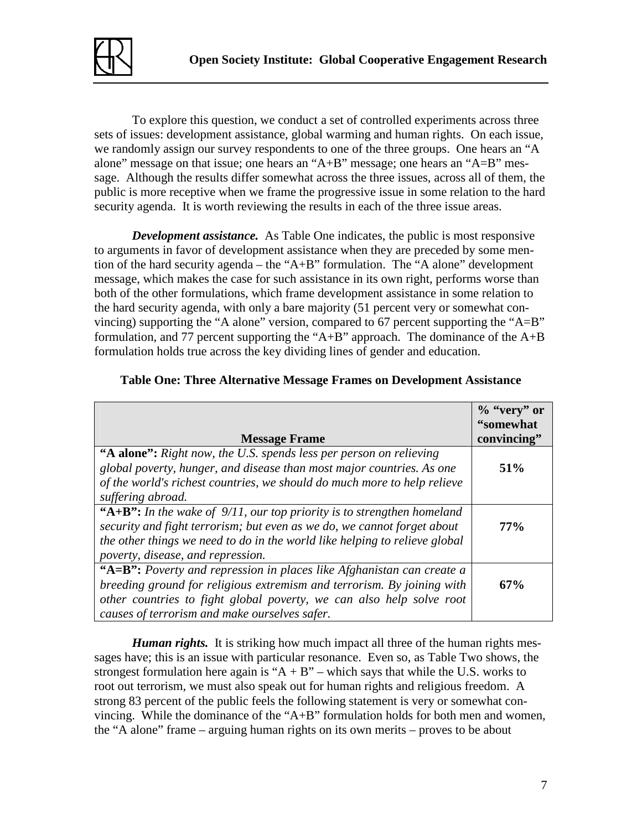

 To explore this question, we conduct a set of controlled experiments across three sets of issues: development assistance, global warming and human rights. On each issue, we randomly assign our survey respondents to one of the three groups. One hears an "A alone" message on that issue; one hears an " $A+B$ " message; one hears an " $A=B$ " message. Although the results differ somewhat across the three issues, across all of them, the public is more receptive when we frame the progressive issue in some relation to the hard security agenda. It is worth reviewing the results in each of the three issue areas.

*Development assistance.* As Table One indicates, the public is most responsive to arguments in favor of development assistance when they are preceded by some mention of the hard security agenda – the "A+B" formulation. The "A alone" development message, which makes the case for such assistance in its own right, performs worse than both of the other formulations, which frame development assistance in some relation to the hard security agenda, with only a bare majority (51 percent very or somewhat convincing) supporting the "A alone" version, compared to 67 percent supporting the "A=B" formulation, and 77 percent supporting the "A+B" approach. The dominance of the  $A+B$ formulation holds true across the key dividing lines of gender and education.

|                                                                            | $\%$ "very" or |
|----------------------------------------------------------------------------|----------------|
|                                                                            | "somewhat      |
| <b>Message Frame</b>                                                       | convincing"    |
| "A alone": Right now, the U.S. spends less per person on relieving         |                |
| global poverty, hunger, and disease than most major countries. As one      | 51%            |
| of the world's richest countries, we should do much more to help relieve   |                |
| suffering abroad.                                                          |                |
| "A+B": In the wake of $9/11$ , our top priority is to strengthen homeland  |                |
| security and fight terrorism; but even as we do, we cannot forget about    | $77\%$         |
| the other things we need to do in the world like helping to relieve global |                |
| poverty, disease, and repression.                                          |                |
| "A=B": Poverty and repression in places like Afghanistan can create a      |                |
| breeding ground for religious extremism and terrorism. By joining with     | 67%            |
| other countries to fight global poverty, we can also help solve root       |                |
| causes of terrorism and make ourselves safer.                              |                |

### **Table One: Three Alternative Message Frames on Development Assistance**

*Human rights.* It is striking how much impact all three of the human rights messages have; this is an issue with particular resonance. Even so, as Table Two shows, the strongest formulation here again is " $A + B$ " – which says that while the U.S. works to root out terrorism, we must also speak out for human rights and religious freedom. A strong 83 percent of the public feels the following statement is very or somewhat convincing. While the dominance of the "A+B" formulation holds for both men and women, the "A alone" frame – arguing human rights on its own merits – proves to be about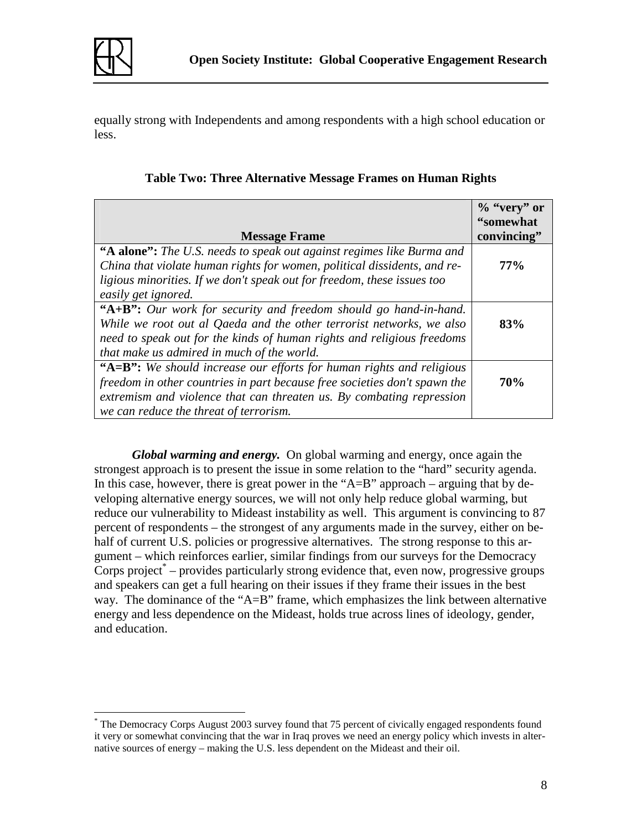

equally strong with Independents and among respondents with a high school education or less.

|                                                                           | $\%$ "very" or |
|---------------------------------------------------------------------------|----------------|
|                                                                           | "somewhat      |
| <b>Message Frame</b>                                                      | convincing"    |
| "A alone": The U.S. needs to speak out against regimes like Burma and     |                |
| China that violate human rights for women, political dissidents, and re-  | $77\%$         |
| ligious minorities. If we don't speak out for freedom, these issues too   |                |
| easily get ignored.                                                       |                |
| "A+B": Our work for security and freedom should go hand-in-hand.          |                |
| While we root out al Qaeda and the other terrorist networks, we also      | 83%            |
| need to speak out for the kinds of human rights and religious freedoms    |                |
| that make us admired in much of the world.                                |                |
| "A=B": We should increase our efforts for human rights and religious      |                |
| freedom in other countries in part because free societies don't spawn the | <b>70%</b>     |
| extremism and violence that can threaten us. By combating repression      |                |
| we can reduce the threat of terrorism.                                    |                |

# **Table Two: Three Alternative Message Frames on Human Rights**

 *Global warming and energy.* On global warming and energy, once again the strongest approach is to present the issue in some relation to the "hard" security agenda. In this case, however, there is great power in the " $A=B$ " approach – arguing that by developing alternative energy sources, we will not only help reduce global warming, but reduce our vulnerability to Mideast instability as well. This argument is convincing to 87 percent of respondents – the strongest of any arguments made in the survey, either on behalf of current U.S. policies or progressive alternatives. The strong response to this argument – which reinforces earlier, similar findings from our surveys for the Democracy Corps project<sup>\*</sup> – provides particularly strong evidence that, even now, progressive groups and speakers can get a full hearing on their issues if they frame their issues in the best way. The dominance of the "A=B" frame, which emphasizes the link between alternative energy and less dependence on the Mideast, holds true across lines of ideology, gender, and education.

<sup>&</sup>lt;u>.</u> \* The Democracy Corps August 2003 survey found that 75 percent of civically engaged respondents found it very or somewhat convincing that the war in Iraq proves we need an energy policy which invests in alternative sources of energy – making the U.S. less dependent on the Mideast and their oil.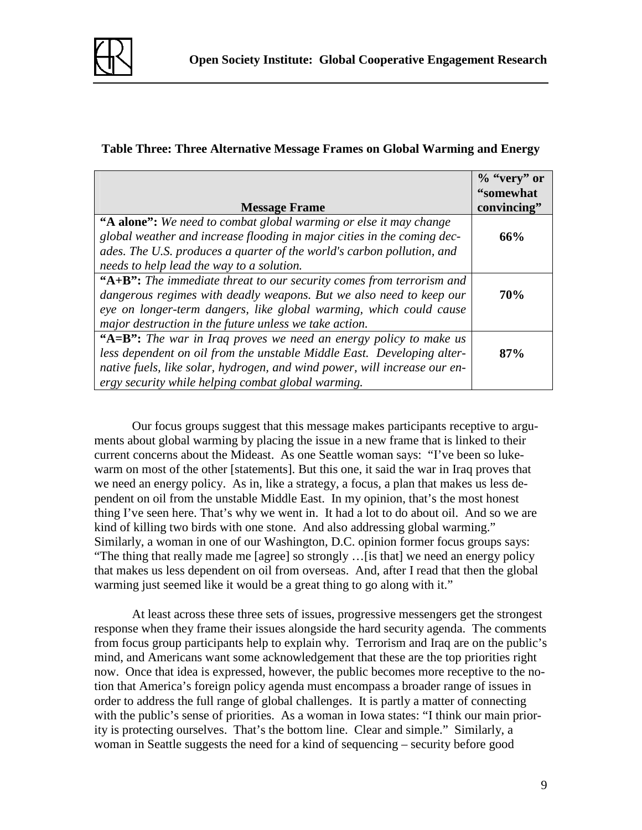

## **Table Three: Three Alternative Message Frames on Global Warming and Energy**

|                                                                           | $\%$ "very" or |
|---------------------------------------------------------------------------|----------------|
|                                                                           | "somewhat      |
| <b>Message Frame</b>                                                      | convincing"    |
| "A alone": We need to combat global warming or else it may change         |                |
| global weather and increase flooding in major cities in the coming dec-   | 66%            |
| ades. The U.S. produces a quarter of the world's carbon pollution, and    |                |
| needs to help lead the way to a solution.                                 |                |
| "A+B": The immediate threat to our security comes from terrorism and      |                |
| dangerous regimes with deadly weapons. But we also need to keep our       | <b>70%</b>     |
| eye on longer-term dangers, like global warming, which could cause        |                |
| major destruction in the future unless we take action.                    |                |
| "A=B": The war in Iraq proves we need an energy policy to make us         |                |
| less dependent on oil from the unstable Middle East. Developing alter-    | 87%            |
| native fuels, like solar, hydrogen, and wind power, will increase our en- |                |
| ergy security while helping combat global warming.                        |                |

 Our focus groups suggest that this message makes participants receptive to arguments about global warming by placing the issue in a new frame that is linked to their current concerns about the Mideast. As one Seattle woman says: "I've been so lukewarm on most of the other [statements]. But this one, it said the war in Iraq proves that we need an energy policy. As in, like a strategy, a focus, a plan that makes us less dependent on oil from the unstable Middle East. In my opinion, that's the most honest thing I've seen here. That's why we went in. It had a lot to do about oil. And so we are kind of killing two birds with one stone. And also addressing global warming." Similarly, a woman in one of our Washington, D.C. opinion former focus groups says: "The thing that really made me [agree] so strongly …[is that] we need an energy policy that makes us less dependent on oil from overseas. And, after I read that then the global warming just seemed like it would be a great thing to go along with it."

 At least across these three sets of issues, progressive messengers get the strongest response when they frame their issues alongside the hard security agenda. The comments from focus group participants help to explain why. Terrorism and Iraq are on the public's mind, and Americans want some acknowledgement that these are the top priorities right now. Once that idea is expressed, however, the public becomes more receptive to the notion that America's foreign policy agenda must encompass a broader range of issues in order to address the full range of global challenges. It is partly a matter of connecting with the public's sense of priorities. As a woman in Iowa states: "I think our main priority is protecting ourselves. That's the bottom line. Clear and simple." Similarly, a woman in Seattle suggests the need for a kind of sequencing – security before good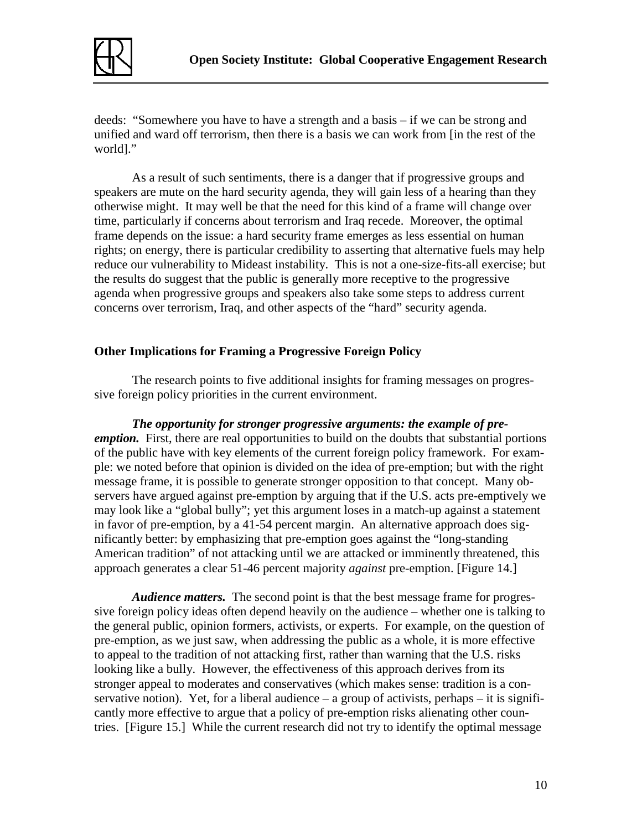

deeds: "Somewhere you have to have a strength and a basis – if we can be strong and unified and ward off terrorism, then there is a basis we can work from [in the rest of the world]."

As a result of such sentiments, there is a danger that if progressive groups and speakers are mute on the hard security agenda, they will gain less of a hearing than they otherwise might. It may well be that the need for this kind of a frame will change over time, particularly if concerns about terrorism and Iraq recede. Moreover, the optimal frame depends on the issue: a hard security frame emerges as less essential on human rights; on energy, there is particular credibility to asserting that alternative fuels may help reduce our vulnerability to Mideast instability. This is not a one-size-fits-all exercise; but the results do suggest that the public is generally more receptive to the progressive agenda when progressive groups and speakers also take some steps to address current concerns over terrorism, Iraq, and other aspects of the "hard" security agenda.

### **Other Implications for Framing a Progressive Foreign Policy**

 The research points to five additional insights for framing messages on progressive foreign policy priorities in the current environment.

*The opportunity for stronger progressive arguments: the example of preemption.* First, there are real opportunities to build on the doubts that substantial portions of the public have with key elements of the current foreign policy framework. For example: we noted before that opinion is divided on the idea of pre-emption; but with the right message frame, it is possible to generate stronger opposition to that concept. Many observers have argued against pre-emption by arguing that if the U.S. acts pre-emptively we may look like a "global bully"; yet this argument loses in a match-up against a statement in favor of pre-emption, by a 41-54 percent margin. An alternative approach does significantly better: by emphasizing that pre-emption goes against the "long-standing American tradition" of not attacking until we are attacked or imminently threatened, this approach generates a clear 51-46 percent majority *against* pre-emption. [Figure 14.]

*Audience matters.* The second point is that the best message frame for progressive foreign policy ideas often depend heavily on the audience – whether one is talking to the general public, opinion formers, activists, or experts. For example, on the question of pre-emption, as we just saw, when addressing the public as a whole, it is more effective to appeal to the tradition of not attacking first, rather than warning that the U.S. risks looking like a bully. However, the effectiveness of this approach derives from its stronger appeal to moderates and conservatives (which makes sense: tradition is a conservative notion). Yet, for a liberal audience  $-$  a group of activists, perhaps  $-$  it is significantly more effective to argue that a policy of pre-emption risks alienating other countries. [Figure 15.]While the current research did not try to identify the optimal message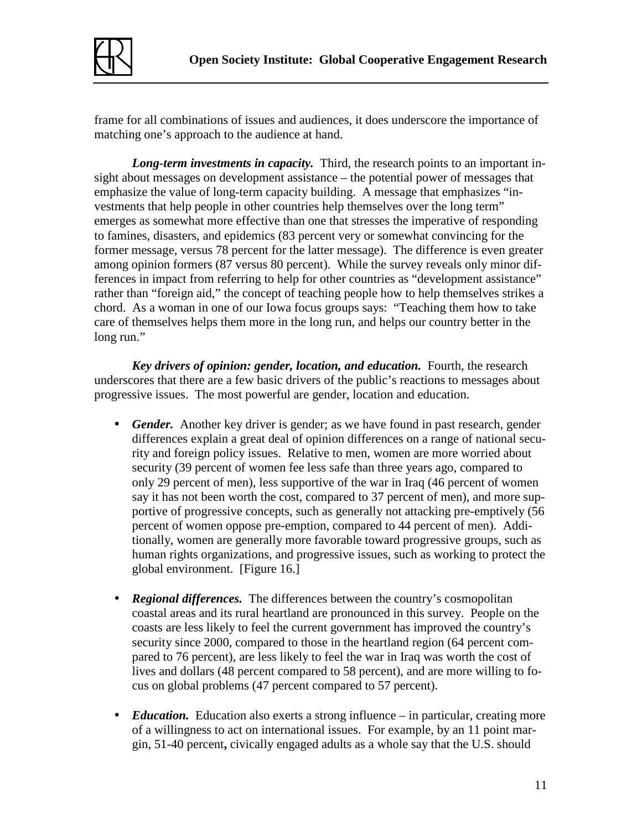

frame for all combinations of issues and audiences, it does underscore the importance of matching one's approach to the audience at hand.

*Long-term investments in capacity.* Third, the research points to an important insight about messages on development assistance – the potential power of messages that emphasize the value of long-term capacity building. A message that emphasizes "investments that help people in other countries help themselves over the long term" emerges as somewhat more effective than one that stresses the imperative of responding to famines, disasters, and epidemics (83 percent very or somewhat convincing for the former message, versus 78 percent for the latter message). The difference is even greater among opinion formers (87 versus 80 percent). While the survey reveals only minor differences in impact from referring to help for other countries as "development assistance" rather than "foreign aid," the concept of teaching people how to help themselves strikes a chord. As a woman in one of our Iowa focus groups says: "Teaching them how to take care of themselves helps them more in the long run, and helps our country better in the long run."

*Key drivers of opinion: gender, location, and education.* Fourth, the research underscores that there are a few basic drivers of the public's reactions to messages about progressive issues. The most powerful are gender, location and education.

- *Gender.* Another key driver is gender; as we have found in past research, gender differences explain a great deal of opinion differences on a range of national security and foreign policy issues.Relative to men, women are more worried about security (39 percent of women fee less safe than three years ago, compared to only 29 percent of men), less supportive of the war in Iraq (46 percent of women say it has not been worth the cost, compared to 37 percent of men), and more supportive of progressive concepts, such as generally not attacking pre-emptively (56 percent of women oppose pre-emption, compared to 44 percent of men). Additionally, women are generally more favorable toward progressive groups, such as human rights organizations, and progressive issues, such as working to protect the global environment. [Figure 16.]
- *Regional differences*. The differences between the country's cosmopolitan coastal areas and its rural heartland are pronounced in this survey. People on the coasts are less likely to feel the current government has improved the country's security since 2000, compared to those in the heartland region (64 percent compared to 76 percent), are less likely to feel the war in Iraq was worth the cost of lives and dollars (48 percent compared to 58 percent), and are more willing to focus on global problems (47 percent compared to 57 percent).
- *Education*. Education also exerts a strong influence in particular, creating more of a willingness to act on international issues. For example, by an 11 point margin, 51-40 percent**,** civically engaged adults as a whole say that the U.S. should